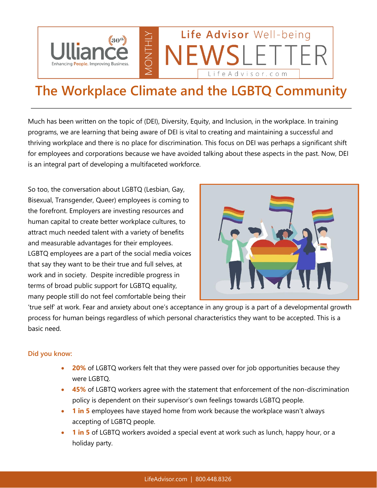

## **The Workplace Climate and the LGBTQ Community**

Much has been written on the topic of (DEI), Diversity, Equity, and Inclusion, in the workplace. In training programs, we are learning that being aware of DEI is vital to creating and maintaining a successful and thriving workplace and there is no place for discrimination. This focus on DEI was perhaps a significant shift for employees and corporations because we have avoided talking about these aspects in the past. Now, DEI is an integral part of developing a multifaceted workforce.

So too, the conversation about LGBTQ (Lesbian, Gay, Bisexual, Transgender, Queer) employees is coming to the forefront. Employers are investing resources and human capital to create better workplace cultures, to attract much needed talent with a variety of benefits and measurable advantages for their employees. LGBTQ employees are a part of the social media voices that say they want to be their true and full selves, at work and in society. Despite incredible progress in terms of broad public support for LGBTQ equality, many people still do not feel comfortable being their



'true self' at work. Fear and anxiety about one's acceptance in any group is a part of a developmental growth process for human beings regardless of which personal characteristics they want to be accepted. This is a basic need.

## **Did you know:**

- **20%** of LGBTQ workers felt that they were passed over for job opportunities because they were LGBTQ.
- **45%** of LGBTQ workers agree with the statement that enforcement of the non-discrimination policy is dependent on their supervisor's own feelings towards LGBTQ people.
- **1 in 5** employees have stayed home from work because the workplace wasn't always accepting of LGBTQ people.
- **1 in 5** of LGBTQ workers avoided a special event at work such as lunch, happy hour, or a holiday party.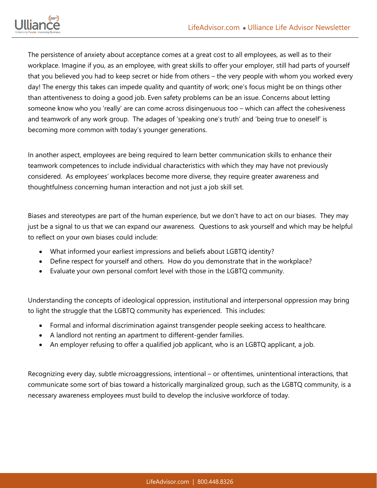

The persistence of anxiety about acceptance comes at a great cost to all employees, as well as to their workplace. Imagine if you, as an employee, with great skills to offer your employer, still had parts of yourself that you believed you had to keep secret or hide from others – the very people with whom you worked every day! The energy this takes can impede quality and quantity of work; one's focus might be on things other than attentiveness to doing a good job. Even safety problems can be an issue. Concerns about letting someone know who you 'really' are can come across disingenuous too – which can affect the cohesiveness and teamwork of any work group. The adages of 'speaking one's truth' and 'being true to oneself' is becoming more common with today's younger generations.

In another aspect, employees are being required to learn better communication skills to enhance their teamwork competences to include individual characteristics with which they may have not previously considered. As employees' workplaces become more diverse, they require greater awareness and thoughtfulness concerning human interaction and not just a job skill set.

Biases and stereotypes are part of the human experience, but we don't have to act on our biases. They may just be a signal to us that we can expand our awareness. Questions to ask yourself and which may be helpful to reflect on your own biases could include:

- What informed your earliest impressions and beliefs about LGBTQ identity?
- Define respect for yourself and others. How do you demonstrate that in the workplace?
- Evaluate your own personal comfort level with those in the LGBTQ community.

Understanding the concepts of ideological oppression, institutional and interpersonal oppression may bring to light the struggle that the LGBTQ community has experienced. This includes:

- Formal and informal discrimination against transgender people seeking access to healthcare.
- A landlord not renting an apartment to different-gender families.
- An employer refusing to offer a qualified job applicant, who is an LGBTQ applicant, a job.

Recognizing every day, subtle microaggressions, intentional – or oftentimes, unintentional interactions, that communicate some sort of bias toward a historically marginalized group, such as the LGBTQ community, is a necessary awareness employees must build to develop the inclusive workforce of today.